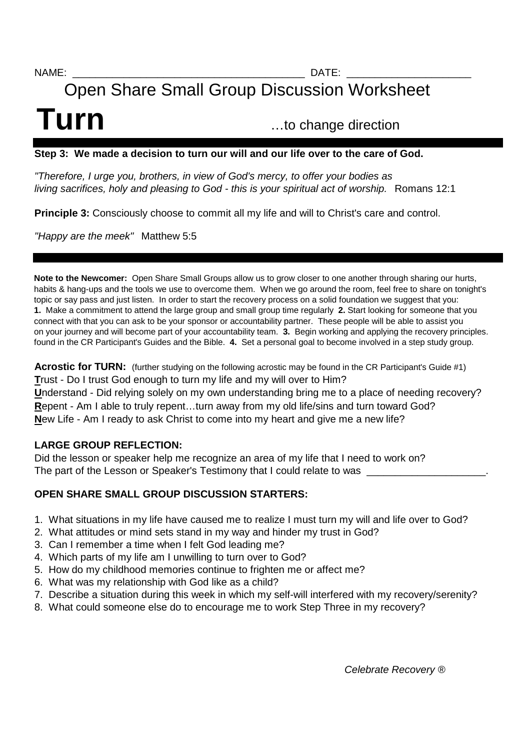NAME: \_\_\_\_\_\_\_\_\_\_\_\_\_\_\_\_\_\_\_\_\_\_\_\_\_\_\_\_\_\_\_\_\_\_\_\_\_\_\_\_\_ DATE: \_\_\_\_\_\_\_\_\_\_\_\_\_\_\_\_\_\_\_\_\_\_

# Open Share Small Group Discussion Worksheet

# **Turn** 2008 ...to change direction

#### **Step 3: We made a decision to turn our will and our life over to the care of God.**

"Therefore, I urge you, brothers, in view of God's mercy, to offer your bodies as living sacrifices, holy and pleasing to God - this is your spiritual act of worship. Romans 12:1

**Principle 3:** Consciously choose to commit all my life and will to Christ's care and control.

"Happy are the meek" Matthew 5:5

**Note to the Newcomer:** Open Share Small Groups allow us to grow closer to one another through sharing our hurts, habits & hang-ups and the tools we use to overcome them. When we go around the room, feel free to share on tonight's topic or say pass and just listen. In order to start the recovery process on a solid foundation we suggest that you: **1.** Make a commitment to attend the large group and small group time regularly **2.** Start looking for someone that you connect with that you can ask to be your sponsor or accountability partner. These people will be able to assist you on your journey and will become part of your accountability team. **3.** Begin working and applying the recovery principles. found in the CR Participant's Guides and the Bible. **4.** Set a personal goal to become involved in a step study group.

**Acrostic for TURN:** (further studying on the following acrostic may be found in the CR Participant's Guide #1) **T**rust - Do I trust God enough to turn my life and my will over to Him? **U**nderstand - Did relying solely on my own understanding bring me to a place of needing recovery? **R**epent - Am I able to truly repent…turn away from my old life/sins and turn toward God? **N**ew Life - Am I ready to ask Christ to come into my heart and give me a new life?

#### **LARGE GROUP REFLECTION:**

Did the lesson or speaker help me recognize an area of my life that I need to work on? The part of the Lesson or Speaker's Testimony that I could relate to was

#### **OPEN SHARE SMALL GROUP DISCUSSION STARTERS:**

- 1. What situations in my life have caused me to realize I must turn my will and life over to God?
- 2. What attitudes or mind sets stand in my way and hinder my trust in God?
- 3. Can I remember a time when I felt God leading me?
- 4. Which parts of my life am I unwilling to turn over to God?
- 5. How do my childhood memories continue to frighten me or affect me?
- 6. What was my relationship with God like as a child?
- 7. Describe a situation during this week in which my self-will interfered with my recovery/serenity?
- 8. What could someone else do to encourage me to work Step Three in my recovery?